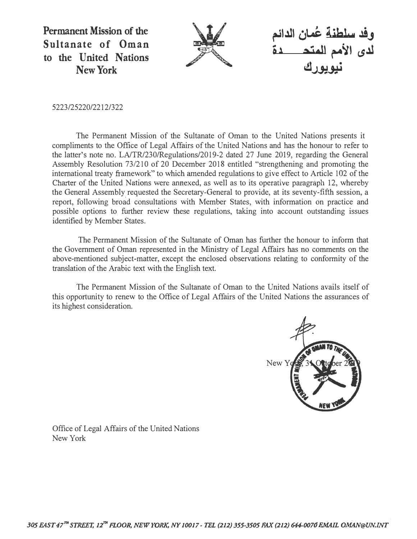**Permanent Mission of the Sultanate of Oman to the United Nations New York** 



وفد سلطنة عُمان الدائم ل<sub>ا</sub> ، الأمم المتحفظ **ىيوپور**ت

5223/25220/2212/322

The Permanent Mission of the Sultanate of Oman to the United Nations presents it compliments to the Office of Legal Affairs of the United Nations and has the honour to refer to the latter's note no. LA/TR/230/Regulations/2019-2 dated 27 June 2019, regarding the General Assembly Resolution 73/210 of 20 December 2018 entitled "strengthening and promoting the international treaty framework" to which amended regulations to give effect to Article 102 of the Charter of the United Nations were annexed, as well as to its operative paragraph 12, whereby the General Assembly requested the Secretary-General to provide, at its seventy-fifth session, a report, following broad consultations with Member States, with information on practice and possible options to further review these regulations, taking into account outstanding issues identified by Member States.

The Permanent Mission of the Sultanate of Oman has further the honour to inform that the Government of Oman represented in the Ministry of Legal Affairs has no comments on the above-mentioned subject-matter, except the enclosed observations relating to conformity of the translation of the Arabic text with the English text.

The Permanent Mission of the Sultanate of Oman to the United Nations avails itself of this opportunity to renew to the Office of Legal Affairs of the United Nations the assurances of its highest consideration.



Office of Legal Affairs of the United Nations New York